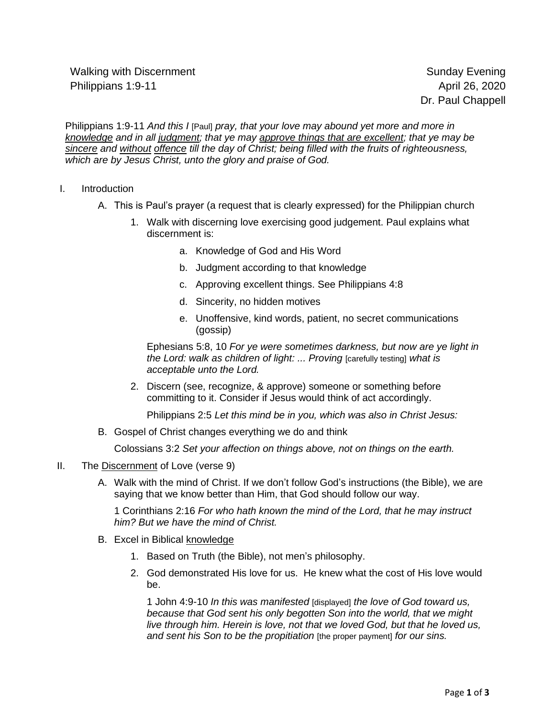Walking with Discernment Number of Sunday Evening Sunday Evening Philippians 1:9-11 **April 26, 2020** 

Philippians 1:9-11 *And this I* [Paul] *pray, that your love may abound yet more and more in knowledge and in all judgment; that ye may approve things that are excellent; that ye may be sincere and without offence till the day of Christ; being filled with the fruits of righteousness, which are by Jesus Christ, unto the glory and praise of God.*

- I. Introduction
	- A. This is Paul's prayer (a request that is clearly expressed) for the Philippian church
		- 1. Walk with discerning love exercising good judgement. Paul explains what discernment is:
			- a. Knowledge of God and His Word
			- b. Judgment according to that knowledge
			- c. Approving excellent things. See Philippians 4:8
			- d. Sincerity, no hidden motives
			- e. Unoffensive, kind words, patient, no secret communications (gossip)

Ephesians 5:8, 10 *For ye were sometimes darkness, but now are ye light in the Lord: walk as children of light: ... Proving* [carefully testing] *what is acceptable unto the Lord.*

2. Discern (see, recognize, & approve) someone or something before committing to it. Consider if Jesus would think of act accordingly.

Philippians 2:5 *Let this mind be in you, which was also in Christ Jesus:*

B. Gospel of Christ changes everything we do and think

Colossians 3:2 *Set your affection on things above, not on things on the earth.*

- II. The Discernment of Love (verse 9)
	- A. Walk with the mind of Christ. If we don't follow God's instructions (the Bible), we are saying that we know better than Him, that God should follow our way.

1 Corinthians 2:16 *For who hath known the mind of the Lord, that he may instruct him? But we have the mind of Christ.*

- B. Excel in Biblical knowledge
	- 1. Based on Truth (the Bible), not men's philosophy.
	- 2. God demonstrated His love for us. He knew what the cost of His love would be.

1 John 4:9-10 *In this was manifested* [displayed] *the love of God toward us, because that God sent his only begotten Son into the world, that we might live through him. Herein is love, not that we loved God, but that he loved us, and sent his Son to be the propitiation* [the proper payment] *for our sins.*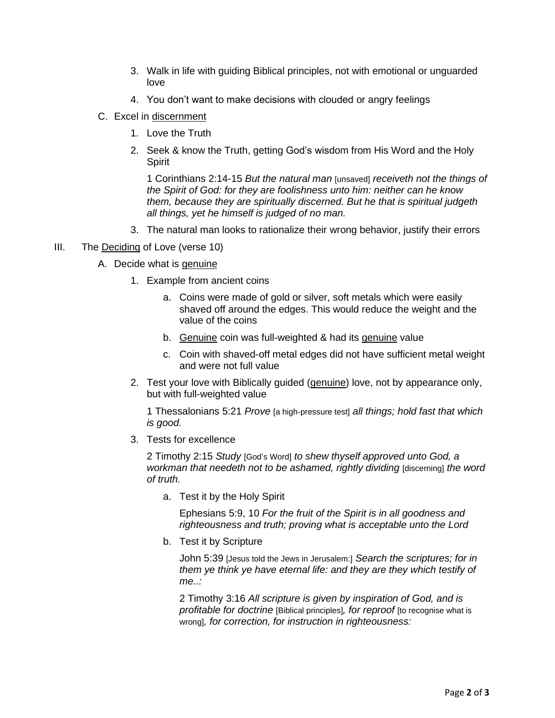- 3. Walk in life with guiding Biblical principles, not with emotional or unguarded love
- 4. You don't want to make decisions with clouded or angry feelings
- C. Excel in discernment
	- 1. Love the Truth
	- 2. Seek & know the Truth, getting God's wisdom from His Word and the Holy **Spirit**

1 Corinthians 2:14-15 *But the natural man* [unsaved] *receiveth not the things of the Spirit of God: for they are foolishness unto him: neither can he know them, because they are spiritually discerned. But he that is spiritual judgeth all things, yet he himself is judged of no man.*

- 3. The natural man looks to rationalize their wrong behavior, justify their errors
- III. The Deciding of Love (verse 10)
	- A. Decide what is genuine
		- 1. Example from ancient coins
			- a. Coins were made of gold or silver, soft metals which were easily shaved off around the edges. This would reduce the weight and the value of the coins
			- b. Genuine coin was full-weighted & had its genuine value
			- c. Coin with shaved-off metal edges did not have sufficient metal weight and were not full value
		- 2. Test your love with Biblically guided (genuine) love, not by appearance only, but with full-weighted value

1 Thessalonians 5:21 *Prove* [a high-pressure test] *all things; hold fast that which is good.*

3. Tests for excellence

2 Timothy 2:15 *Study* [God's Word] *to shew thyself approved unto God, a workman that needeth not to be ashamed, rightly dividing* [discerning] *the word of truth.*

a. Test it by the Holy Spirit

Ephesians 5:9, 10 *For the fruit of the Spirit is in all goodness and righteousness and truth; proving what is acceptable unto the Lord*

b. Test it by Scripture

John 5:39 [Jesus told the Jews in Jerusalem:] *Search the scriptures; for in them ye think ye have eternal life: and they are they which testify of me..:*

2 Timothy 3:16 *All scripture is given by inspiration of God, and is profitable for doctrine* [Biblical principles]*, for reproof* [to recognise what is wrong]*, for correction, for instruction in righteousness:*